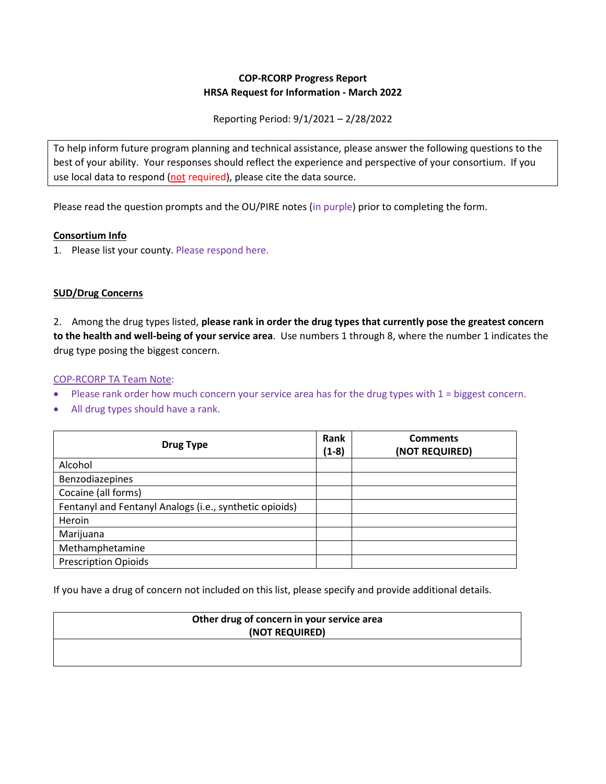# **COP-RCORP Progress Report HRSA Request for Information - March 2022**

Reporting Period: 9/1/2021 – 2/28/2022

To help inform future program planning and technical assistance, please answer the following questions to the best of your ability. Your responses should reflect the experience and perspective of your consortium. If you use local data to respond (not required), please cite the data source.

Please read the question prompts and the OU/PIRE notes (in purple) prior to completing the form.

### **Consortium Info**

1. Please list your county. Please respond here.

# **SUD/Drug Concerns**

2. Among the drug types listed, **please rank in order the drug types that currently pose the greatest concern to the health and well-being of your service area**. Use numbers 1 through 8, where the number 1 indicates the drug type posing the biggest concern.

### COP-RCORP TA Team Note:

- Please rank order how much concern your service area has for the drug types with 1 = biggest concern.
- All drug types should have a rank.

| <b>Drug Type</b>                                        | Rank<br>$(1-8)$ | <b>Comments</b><br>(NOT REQUIRED) |
|---------------------------------------------------------|-----------------|-----------------------------------|
| Alcohol                                                 |                 |                                   |
| Benzodiazepines                                         |                 |                                   |
| Cocaine (all forms)                                     |                 |                                   |
| Fentanyl and Fentanyl Analogs (i.e., synthetic opioids) |                 |                                   |
| Heroin                                                  |                 |                                   |
| Marijuana                                               |                 |                                   |
| Methamphetamine                                         |                 |                                   |
| <b>Prescription Opioids</b>                             |                 |                                   |

If you have a drug of concern not included on this list, please specify and provide additional details.

# **Other drug of concern in your service area (NOT REQUIRED)**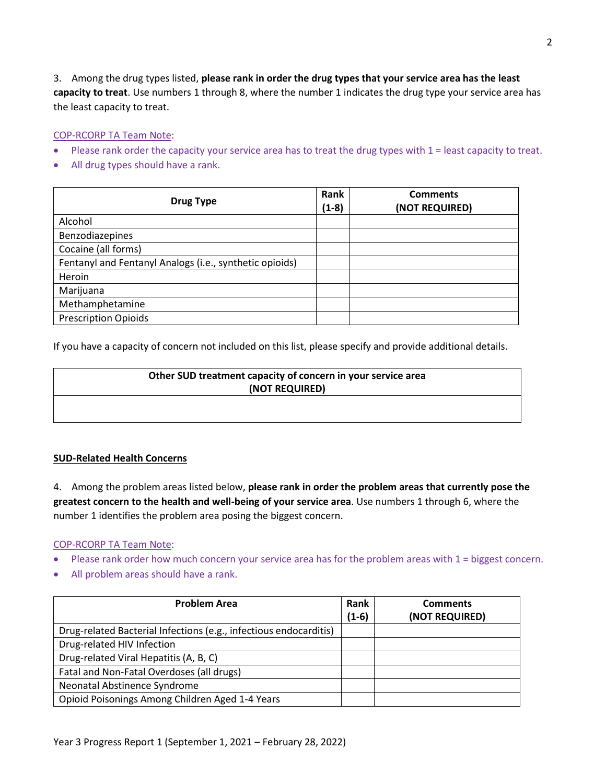3. Among the drug types listed, **please rank in order the drug types that your service area has the least capacity to treat**. Use numbers 1 through 8, where the number 1 indicates the drug type your service area has the least capacity to treat.

### COP-RCORP TA Team Note:

- Please rank order the capacity your service area has to treat the drug types with 1 = least capacity to treat.
- All drug types should have a rank.

| <b>Drug Type</b>                                        | Rank<br>$(1-8)$ | <b>Comments</b><br>(NOT REQUIRED) |
|---------------------------------------------------------|-----------------|-----------------------------------|
| Alcohol                                                 |                 |                                   |
| Benzodiazepines                                         |                 |                                   |
| Cocaine (all forms)                                     |                 |                                   |
| Fentanyl and Fentanyl Analogs (i.e., synthetic opioids) |                 |                                   |
| Heroin                                                  |                 |                                   |
| Marijuana                                               |                 |                                   |
| Methamphetamine                                         |                 |                                   |
| <b>Prescription Opioids</b>                             |                 |                                   |

If you have a capacity of concern not included on this list, please specify and provide additional details.



#### **SUD-Related Health Concerns**

4. Among the problem areas listed below, **please rank in order the problem areas that currently pose the greatest concern to the health and well-being of your service area**. Use numbers 1 through 6, where the number 1 identifies the problem area posing the biggest concern.

#### COP-RCORP TA Team Note:

- Please rank order how much concern your service area has for the problem areas with 1 = biggest concern.
- All problem areas should have a rank.

| <b>Problem Area</b>                                               | Rank    | <b>Comments</b> |
|-------------------------------------------------------------------|---------|-----------------|
|                                                                   | $(1-6)$ | (NOT REQUIRED)  |
| Drug-related Bacterial Infections (e.g., infectious endocarditis) |         |                 |
| Drug-related HIV Infection                                        |         |                 |
| Drug-related Viral Hepatitis (A, B, C)                            |         |                 |
| Fatal and Non-Fatal Overdoses (all drugs)                         |         |                 |
| Neonatal Abstinence Syndrome                                      |         |                 |
| Opioid Poisonings Among Children Aged 1-4 Years                   |         |                 |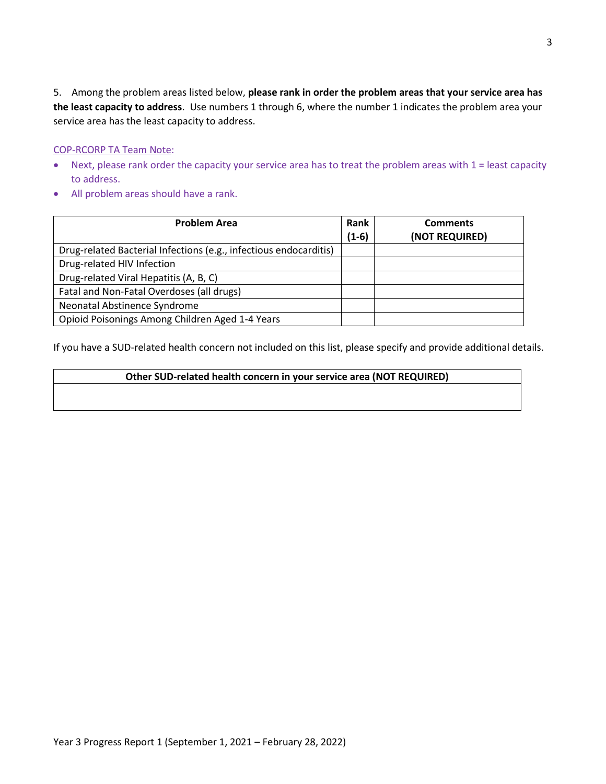5. Among the problem areas listed below, **please rank in order the problem areas that your service area has the least capacity to address**. Use numbers 1 through 6, where the number 1 indicates the problem area your service area has the least capacity to address.

#### COP-RCORP TA Team Note:

- Next, please rank order the capacity your service area has to treat the problem areas with 1 = least capacity to address.
- All problem areas should have a rank.

| <b>Problem Area</b>                                               | Rank<br>$(1-6)$ | <b>Comments</b><br>(NOT REQUIRED) |
|-------------------------------------------------------------------|-----------------|-----------------------------------|
| Drug-related Bacterial Infections (e.g., infectious endocarditis) |                 |                                   |
| Drug-related HIV Infection                                        |                 |                                   |
| Drug-related Viral Hepatitis (A, B, C)                            |                 |                                   |
| Fatal and Non-Fatal Overdoses (all drugs)                         |                 |                                   |
| Neonatal Abstinence Syndrome                                      |                 |                                   |
| Opioid Poisonings Among Children Aged 1-4 Years                   |                 |                                   |

If you have a SUD-related health concern not included on this list, please specify and provide additional details.

# **Other SUD-related health concern in your service area (NOT REQUIRED)**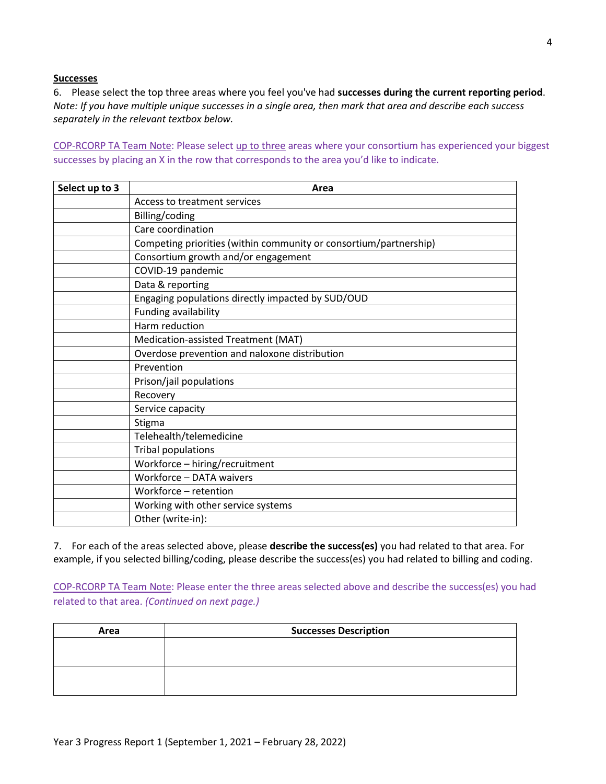#### **Successes**

6. Please select the top three areas where you feel you've had **successes during the current reporting period**. *Note: If you have multiple unique successes in a single area, then mark that area and describe each success separately in the relevant textbox below.*

COP-RCORP TA Team Note: Please select up to three areas where your consortium has experienced your biggest successes by placing an X in the row that corresponds to the area you'd like to indicate.

| Select up to 3 | Area                                                              |
|----------------|-------------------------------------------------------------------|
|                | Access to treatment services                                      |
|                | Billing/coding                                                    |
|                | Care coordination                                                 |
|                | Competing priorities (within community or consortium/partnership) |
|                | Consortium growth and/or engagement                               |
|                | COVID-19 pandemic                                                 |
|                | Data & reporting                                                  |
|                | Engaging populations directly impacted by SUD/OUD                 |
|                | Funding availability                                              |
|                | Harm reduction                                                    |
|                | Medication-assisted Treatment (MAT)                               |
|                | Overdose prevention and naloxone distribution                     |
|                | Prevention                                                        |
|                | Prison/jail populations                                           |
|                | Recovery                                                          |
|                | Service capacity                                                  |
|                | Stigma                                                            |
|                | Telehealth/telemedicine                                           |
|                | <b>Tribal populations</b>                                         |
|                | Workforce - hiring/recruitment                                    |
|                | Workforce - DATA waivers                                          |
|                | Workforce - retention                                             |
|                | Working with other service systems                                |
|                | Other (write-in):                                                 |

7. For each of the areas selected above, please **describe the success(es)** you had related to that area. For example, if you selected billing/coding, please describe the success(es) you had related to billing and coding.

COP-RCORP TA Team Note: Please enter the three areas selected above and describe the success(es) you had related to that area. *(Continued on next page.)*

| Area | <b>Successes Description</b> |  |
|------|------------------------------|--|
|      |                              |  |
|      |                              |  |
|      |                              |  |
|      |                              |  |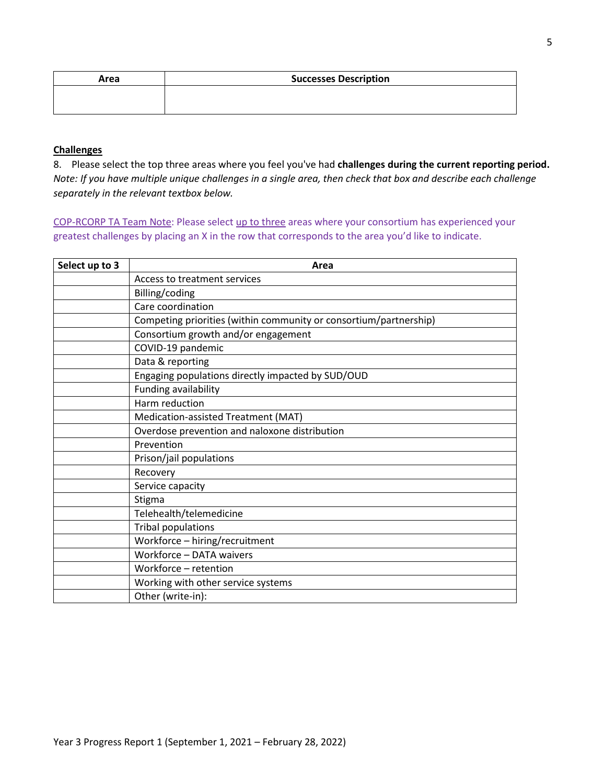| Area | <b>Successes Description</b> |
|------|------------------------------|
|      |                              |
|      |                              |

# **Challenges**

8. Please select the top three areas where you feel you've had **challenges during the current reporting period.** *Note: If you have multiple unique challenges in a single area, then check that box and describe each challenge separately in the relevant textbox below.*

COP-RCORP TA Team Note: Please select up to three areas where your consortium has experienced your greatest challenges by placing an X in the row that corresponds to the area you'd like to indicate.

| Select up to 3 | Area                                                              |
|----------------|-------------------------------------------------------------------|
|                | Access to treatment services                                      |
|                | Billing/coding                                                    |
|                | Care coordination                                                 |
|                | Competing priorities (within community or consortium/partnership) |
|                | Consortium growth and/or engagement                               |
|                | COVID-19 pandemic                                                 |
|                | Data & reporting                                                  |
|                | Engaging populations directly impacted by SUD/OUD                 |
|                | Funding availability                                              |
|                | Harm reduction                                                    |
|                | Medication-assisted Treatment (MAT)                               |
|                | Overdose prevention and naloxone distribution                     |
|                | Prevention                                                        |
|                | Prison/jail populations                                           |
|                | Recovery                                                          |
|                | Service capacity                                                  |
|                | Stigma                                                            |
|                | Telehealth/telemedicine                                           |
|                | <b>Tribal populations</b>                                         |
|                | Workforce - hiring/recruitment                                    |
|                | Workforce - DATA waivers                                          |
|                | Workforce - retention                                             |
|                | Working with other service systems                                |
|                | Other (write-in):                                                 |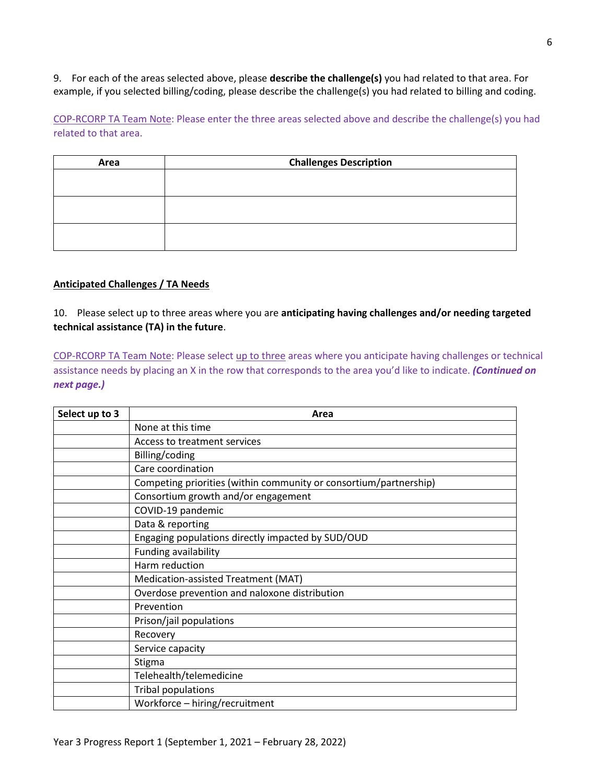9. For each of the areas selected above, please **describe the challenge(s)** you had related to that area. For example, if you selected billing/coding, please describe the challenge(s) you had related to billing and coding.

COP-RCORP TA Team Note: Please enter the three areas selected above and describe the challenge(s) you had related to that area.

| Area | <b>Challenges Description</b> |  |
|------|-------------------------------|--|
|      |                               |  |
|      |                               |  |
|      |                               |  |
|      |                               |  |
|      |                               |  |
|      |                               |  |

## **Anticipated Challenges / TA Needs**

10. Please select up to three areas where you are **anticipating having challenges and/or needing targeted technical assistance (TA) in the future**.

COP-RCORP TA Team Note: Please select up to three areas where you anticipate having challenges or technical assistance needs by placing an X in the row that corresponds to the area you'd like to indicate. *(Continued on next page.)*

| Select up to 3 | Area                                                              |
|----------------|-------------------------------------------------------------------|
|                | None at this time                                                 |
|                | Access to treatment services                                      |
|                | Billing/coding                                                    |
|                | Care coordination                                                 |
|                | Competing priorities (within community or consortium/partnership) |
|                | Consortium growth and/or engagement                               |
|                | COVID-19 pandemic                                                 |
|                | Data & reporting                                                  |
|                | Engaging populations directly impacted by SUD/OUD                 |
|                | Funding availability                                              |
|                | Harm reduction                                                    |
|                | Medication-assisted Treatment (MAT)                               |
|                | Overdose prevention and naloxone distribution                     |
|                | Prevention                                                        |
|                | Prison/jail populations                                           |
|                | Recovery                                                          |
|                | Service capacity                                                  |
|                | Stigma                                                            |
|                | Telehealth/telemedicine                                           |
|                | <b>Tribal populations</b>                                         |
|                | Workforce - hiring/recruitment                                    |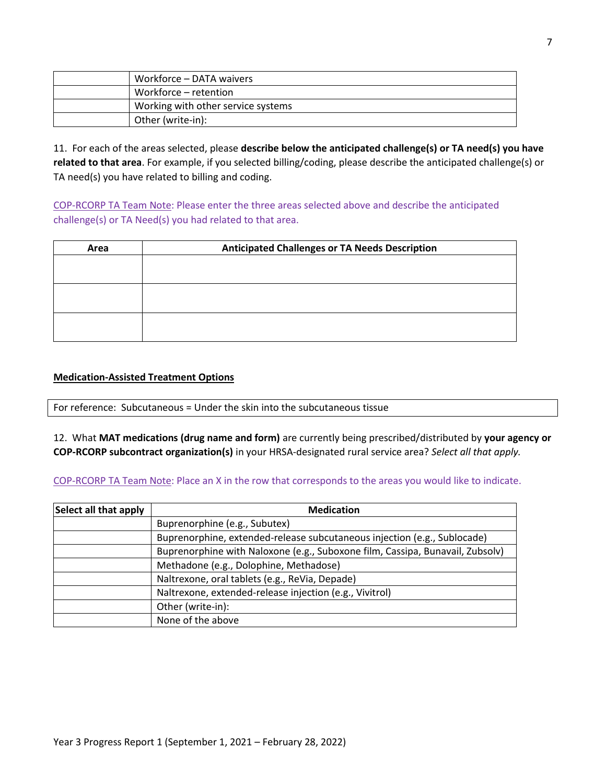| Workforce - DATA waivers           |
|------------------------------------|
| Workforce – retention              |
| Working with other service systems |
| Other (write-in):                  |

11. For each of the areas selected, please **describe below the anticipated challenge(s) or TA need(s) you have related to that area**. For example, if you selected billing/coding, please describe the anticipated challenge(s) or TA need(s) you have related to billing and coding.

COP-RCORP TA Team Note: Please enter the three areas selected above and describe the anticipated challenge(s) or TA Need(s) you had related to that area.

| Area | <b>Anticipated Challenges or TA Needs Description</b> |  |
|------|-------------------------------------------------------|--|
|      |                                                       |  |
|      |                                                       |  |
|      |                                                       |  |
|      |                                                       |  |
|      |                                                       |  |
|      |                                                       |  |

# **Medication-Assisted Treatment Options**

For reference: Subcutaneous = Under the skin into the subcutaneous tissue

12. What **MAT medications (drug name and form)** are currently being prescribed/distributed by **your agency or COP-RCORP subcontract organization(s)** in your HRSA-designated rural service area? *Select all that apply.*

COP-RCORP TA Team Note: Place an X in the row that corresponds to the areas you would like to indicate.

| Select all that apply | <b>Medication</b>                                                             |  |  |  |  |
|-----------------------|-------------------------------------------------------------------------------|--|--|--|--|
|                       | Buprenorphine (e.g., Subutex)                                                 |  |  |  |  |
|                       | Buprenorphine, extended-release subcutaneous injection (e.g., Sublocade)      |  |  |  |  |
|                       | Buprenorphine with Naloxone (e.g., Suboxone film, Cassipa, Bunavail, Zubsolv) |  |  |  |  |
|                       | Methadone (e.g., Dolophine, Methadose)                                        |  |  |  |  |
|                       | Naltrexone, oral tablets (e.g., ReVia, Depade)                                |  |  |  |  |
|                       | Naltrexone, extended-release injection (e.g., Vivitrol)                       |  |  |  |  |
|                       | Other (write-in):                                                             |  |  |  |  |
|                       | None of the above                                                             |  |  |  |  |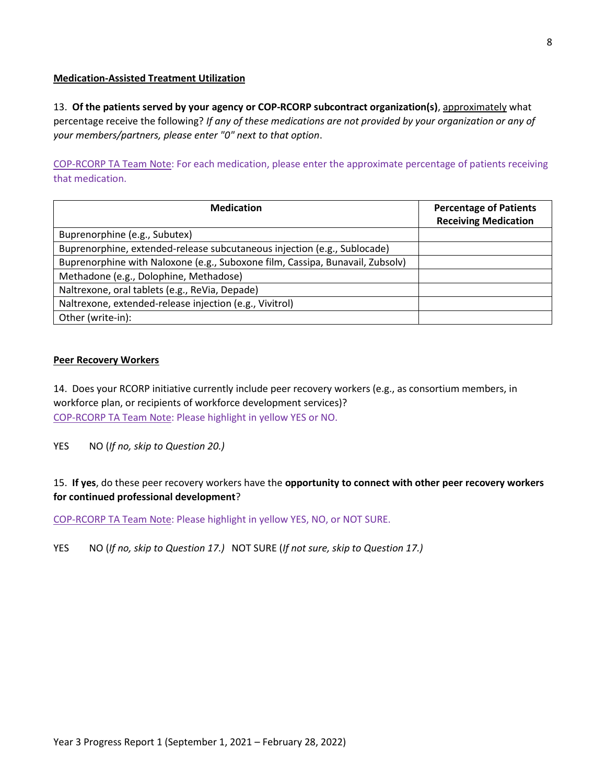## **Medication-Assisted Treatment Utilization**

13. **Of the patients served by your agency or COP-RCORP subcontract organization(s)**, approximately what percentage receive the following? *If any of these medications are not provided by your organization or any of your members/partners, please enter "0" next to that option*.

COP-RCORP TA Team Note: For each medication, please enter the approximate percentage of patients receiving that medication.

| <b>Medication</b>                                                             | <b>Percentage of Patients</b><br><b>Receiving Medication</b> |
|-------------------------------------------------------------------------------|--------------------------------------------------------------|
| Buprenorphine (e.g., Subutex)                                                 |                                                              |
| Buprenorphine, extended-release subcutaneous injection (e.g., Sublocade)      |                                                              |
| Buprenorphine with Naloxone (e.g., Suboxone film, Cassipa, Bunavail, Zubsolv) |                                                              |
| Methadone (e.g., Dolophine, Methadose)                                        |                                                              |
| Naltrexone, oral tablets (e.g., ReVia, Depade)                                |                                                              |
| Naltrexone, extended-release injection (e.g., Vivitrol)                       |                                                              |
| Other (write-in):                                                             |                                                              |

### **Peer Recovery Workers**

14. Does your RCORP initiative currently include peer recovery workers (e.g., as consortium members, in workforce plan, or recipients of workforce development services)? COP-RCORP TA Team Note: Please highlight in yellow YES or NO.

YES NO (*If no, skip to Question 20.)*

15. **If yes**, do these peer recovery workers have the **opportunity to connect with other peer recovery workers for continued professional development**?

COP-RCORP TA Team Note: Please highlight in yellow YES, NO, or NOT SURE.

YES NO (*If no, skip to Question 17.)* NOT SURE (*If not sure, skip to Question 17.)*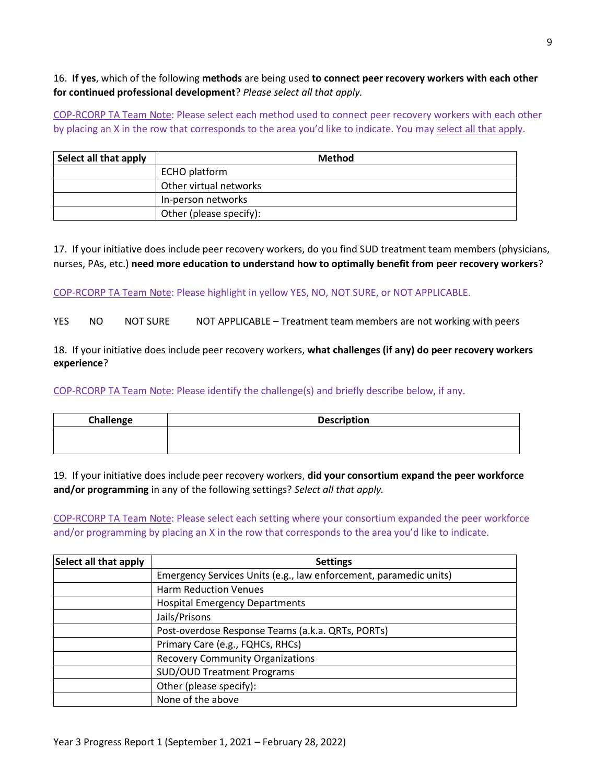16. **If yes**, which of the following **methods** are being used **to connect peer recovery workers with each other for continued professional development**? *Please select all that apply.*

COP-RCORP TA Team Note: Please select each method used to connect peer recovery workers with each other by placing an X in the row that corresponds to the area you'd like to indicate. You may select all that apply.

| Select all that apply | <b>Method</b>           |  |  |  |
|-----------------------|-------------------------|--|--|--|
|                       | ECHO platform           |  |  |  |
|                       | Other virtual networks  |  |  |  |
|                       | In-person networks      |  |  |  |
|                       | Other (please specify): |  |  |  |

17. If your initiative does include peer recovery workers, do you find SUD treatment team members (physicians, nurses, PAs, etc.) **need more education to understand how to optimally benefit from peer recovery workers**?

COP-RCORP TA Team Note: Please highlight in yellow YES, NO, NOT SURE, or NOT APPLICABLE.

YES NO NOT SURE NOT APPLICABLE – Treatment team members are not working with peers

18. If your initiative does include peer recovery workers, **what challenges (if any) do peer recovery workers experience**?

COP-RCORP TA Team Note: Please identify the challenge(s) and briefly describe below, if any.

| Challenge | <b>Description</b> |  |  |  |  |  |  |
|-----------|--------------------|--|--|--|--|--|--|
|           |                    |  |  |  |  |  |  |
|           |                    |  |  |  |  |  |  |

19. If your initiative does include peer recovery workers, **did your consortium expand the peer workforce and/or programming** in any of the following settings? *Select all that apply.*

COP-RCORP TA Team Note: Please select each setting where your consortium expanded the peer workforce and/or programming by placing an X in the row that corresponds to the area you'd like to indicate.

| Select all that apply | <b>Settings</b>                                                   |  |  |  |
|-----------------------|-------------------------------------------------------------------|--|--|--|
|                       | Emergency Services Units (e.g., law enforcement, paramedic units) |  |  |  |
|                       | <b>Harm Reduction Venues</b>                                      |  |  |  |
|                       | <b>Hospital Emergency Departments</b>                             |  |  |  |
|                       | Jails/Prisons                                                     |  |  |  |
|                       | Post-overdose Response Teams (a.k.a. QRTs, PORTs)                 |  |  |  |
|                       | Primary Care (e.g., FQHCs, RHCs)                                  |  |  |  |
|                       | <b>Recovery Community Organizations</b>                           |  |  |  |
|                       | <b>SUD/OUD Treatment Programs</b>                                 |  |  |  |
|                       | Other (please specify):                                           |  |  |  |
|                       | None of the above                                                 |  |  |  |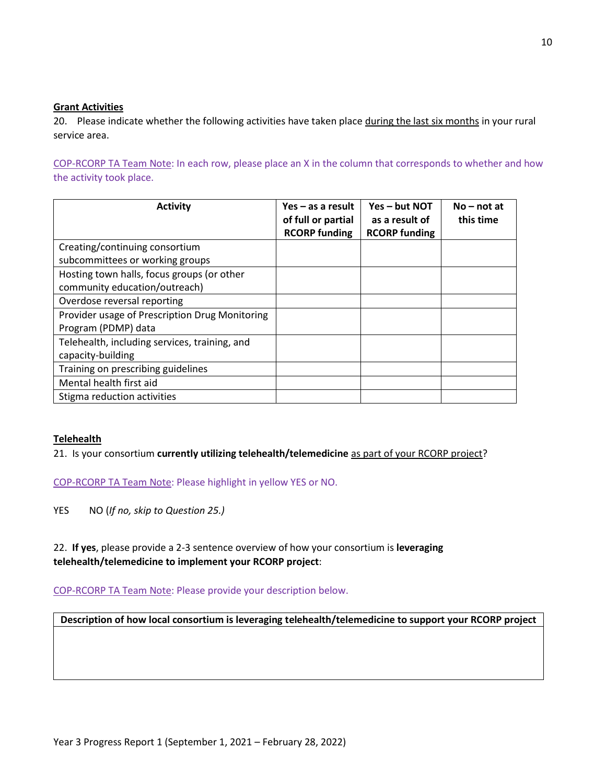### **Grant Activities**

20. Please indicate whether the following activities have taken place during the last six months in your rural service area.

COP-RCORP TA Team Note: In each row, please place an X in the column that corresponds to whether and how the activity took place.

| <b>Activity</b>                                | Yes – as a result<br>of full or partial<br><b>RCORP funding</b> | Yes - but NOT<br>as a result of<br><b>RCORP funding</b> | $No - not$ at<br>this time |
|------------------------------------------------|-----------------------------------------------------------------|---------------------------------------------------------|----------------------------|
| Creating/continuing consortium                 |                                                                 |                                                         |                            |
| subcommittees or working groups                |                                                                 |                                                         |                            |
| Hosting town halls, focus groups (or other     |                                                                 |                                                         |                            |
| community education/outreach)                  |                                                                 |                                                         |                            |
| Overdose reversal reporting                    |                                                                 |                                                         |                            |
| Provider usage of Prescription Drug Monitoring |                                                                 |                                                         |                            |
| Program (PDMP) data                            |                                                                 |                                                         |                            |
| Telehealth, including services, training, and  |                                                                 |                                                         |                            |
| capacity-building                              |                                                                 |                                                         |                            |
| Training on prescribing guidelines             |                                                                 |                                                         |                            |
| Mental health first aid                        |                                                                 |                                                         |                            |
| Stigma reduction activities                    |                                                                 |                                                         |                            |

# **Telehealth**

21. Is your consortium **currently utilizing telehealth/telemedicine** as part of your RCORP project?

COP-RCORP TA Team Note: Please highlight in yellow YES or NO.

YES NO (*If no, skip to Question 25.)*

22. **If yes**, please provide a 2-3 sentence overview of how your consortium is **leveraging telehealth/telemedicine to implement your RCORP project**:

COP-RCORP TA Team Note: Please provide your description below.

**Description of how local consortium is leveraging telehealth/telemedicine to support your RCORP project**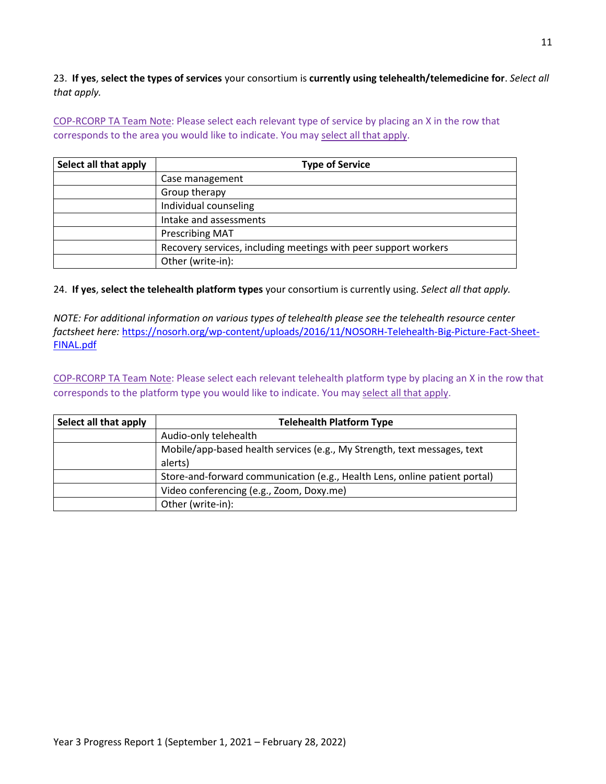23. **If yes**, **select the types of services** your consortium is **currently using telehealth/telemedicine for**. *Select all that apply.*

COP-RCORP TA Team Note: Please select each relevant type of service by placing an X in the row that corresponds to the area you would like to indicate. You may select all that apply.

| Select all that apply | <b>Type of Service</b>                                          |  |  |
|-----------------------|-----------------------------------------------------------------|--|--|
|                       | Case management                                                 |  |  |
|                       | Group therapy                                                   |  |  |
|                       | Individual counseling                                           |  |  |
|                       | Intake and assessments                                          |  |  |
|                       | <b>Prescribing MAT</b>                                          |  |  |
|                       | Recovery services, including meetings with peer support workers |  |  |
|                       | Other (write-in):                                               |  |  |

# 24. **If yes**, **select the telehealth platform types** your consortium is currently using. *Select all that apply.*

*NOTE: For additional information on various types of telehealth please see the telehealth resource center factsheet here:* [https://nosorh.org/wp-content/uploads/2016/11/NOSORH-Telehealth-Big-Picture-Fact-Sheet-](https://nosorh.org/wp-content/uploads/2016/11/NOSORH-Telehealth-Big-Picture-Fact-Sheet-FINAL.pdf)[FINAL.pdf](https://nosorh.org/wp-content/uploads/2016/11/NOSORH-Telehealth-Big-Picture-Fact-Sheet-FINAL.pdf)

COP-RCORP TA Team Note: Please select each relevant telehealth platform type by placing an X in the row that corresponds to the platform type you would like to indicate. You may select all that apply.

| Select all that apply | <b>Telehealth Platform Type</b>                                            |  |  |  |  |
|-----------------------|----------------------------------------------------------------------------|--|--|--|--|
|                       | Audio-only telehealth                                                      |  |  |  |  |
|                       | Mobile/app-based health services (e.g., My Strength, text messages, text   |  |  |  |  |
|                       | alerts)                                                                    |  |  |  |  |
|                       | Store-and-forward communication (e.g., Health Lens, online patient portal) |  |  |  |  |
|                       | Video conferencing (e.g., Zoom, Doxy.me)                                   |  |  |  |  |
|                       | Other (write-in):                                                          |  |  |  |  |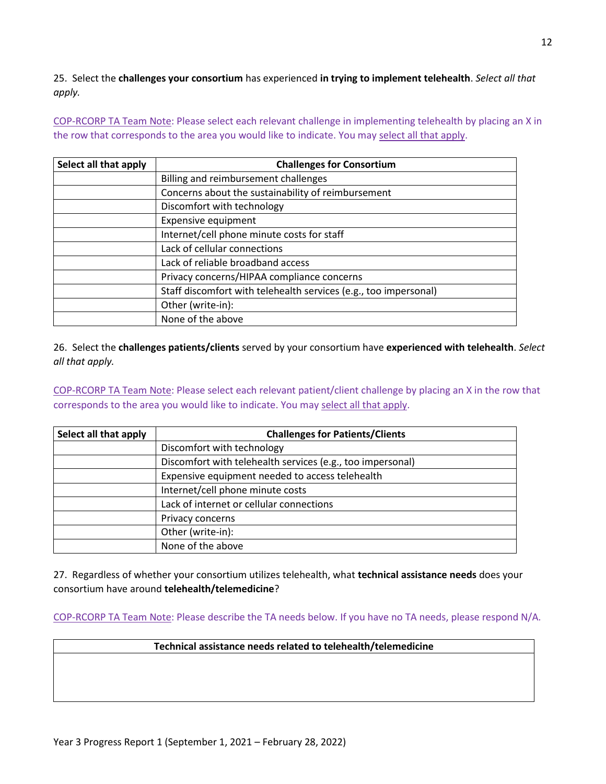25. Select the **challenges your consortium** has experienced **in trying to implement telehealth**. *Select all that apply.*

COP-RCORP TA Team Note: Please select each relevant challenge in implementing telehealth by placing an X in the row that corresponds to the area you would like to indicate. You may select all that apply.

| Select all that apply | <b>Challenges for Consortium</b>                                 |  |  |  |
|-----------------------|------------------------------------------------------------------|--|--|--|
|                       | Billing and reimbursement challenges                             |  |  |  |
|                       | Concerns about the sustainability of reimbursement               |  |  |  |
|                       | Discomfort with technology                                       |  |  |  |
|                       | <b>Expensive equipment</b>                                       |  |  |  |
|                       | Internet/cell phone minute costs for staff                       |  |  |  |
|                       | Lack of cellular connections                                     |  |  |  |
|                       | Lack of reliable broadband access                                |  |  |  |
|                       | Privacy concerns/HIPAA compliance concerns                       |  |  |  |
|                       | Staff discomfort with telehealth services (e.g., too impersonal) |  |  |  |
|                       | Other (write-in):                                                |  |  |  |
|                       | None of the above                                                |  |  |  |

26. Select the **challenges patients/clients** served by your consortium have **experienced with telehealth**. *Select all that apply.*

COP-RCORP TA Team Note: Please select each relevant patient/client challenge by placing an X in the row that corresponds to the area you would like to indicate. You may select all that apply.

| Select all that apply | <b>Challenges for Patients/Clients</b>                     |  |  |  |
|-----------------------|------------------------------------------------------------|--|--|--|
|                       | Discomfort with technology                                 |  |  |  |
|                       | Discomfort with telehealth services (e.g., too impersonal) |  |  |  |
|                       | Expensive equipment needed to access telehealth            |  |  |  |
|                       | Internet/cell phone minute costs                           |  |  |  |
|                       | Lack of internet or cellular connections                   |  |  |  |
|                       | Privacy concerns                                           |  |  |  |
|                       | Other (write-in):                                          |  |  |  |
|                       | None of the above                                          |  |  |  |

27. Regardless of whether your consortium utilizes telehealth, what **technical assistance needs** does your consortium have around **telehealth/telemedicine**?

COP-RCORP TA Team Note: Please describe the TA needs below. If you have no TA needs, please respond N/A.

**Technical assistance needs related to telehealth/telemedicine**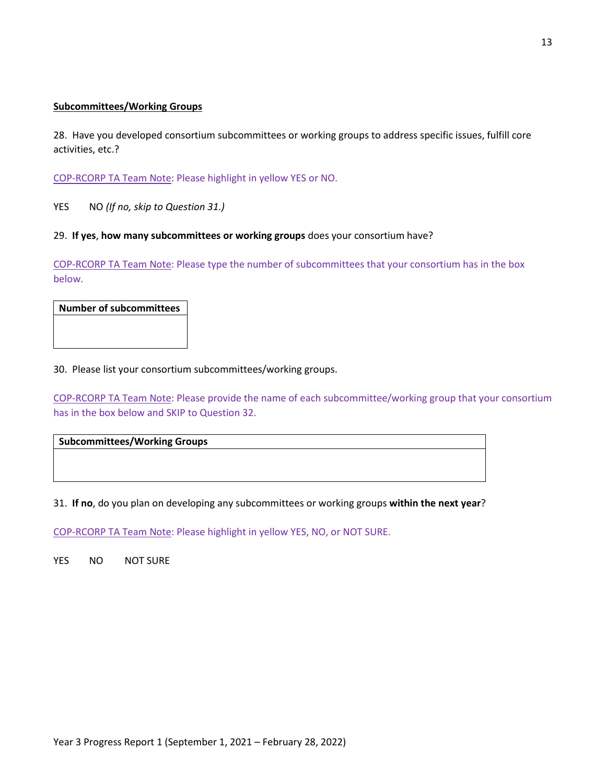### **Subcommittees/Working Groups**

28. Have you developed consortium subcommittees or working groups to address specific issues, fulfill core activities, etc.?

COP-RCORP TA Team Note: Please highlight in yellow YES or NO.

YES NO *(If no, skip to Question 31.)*

#### 29. **If yes**, **how many subcommittees or working groups** does your consortium have?

COP-RCORP TA Team Note: Please type the number of subcommittees that your consortium has in the box below.

**Number of subcommittees**

30. Please list your consortium subcommittees/working groups.

COP-RCORP TA Team Note: Please provide the name of each subcommittee/working group that your consortium has in the box below and SKIP to Question 32.

**Subcommittees/Working Groups**

31. **If no**, do you plan on developing any subcommittees or working groups **within the next year**?

COP-RCORP TA Team Note: Please highlight in yellow YES, NO, or NOT SURE.

YES NO NOT SURE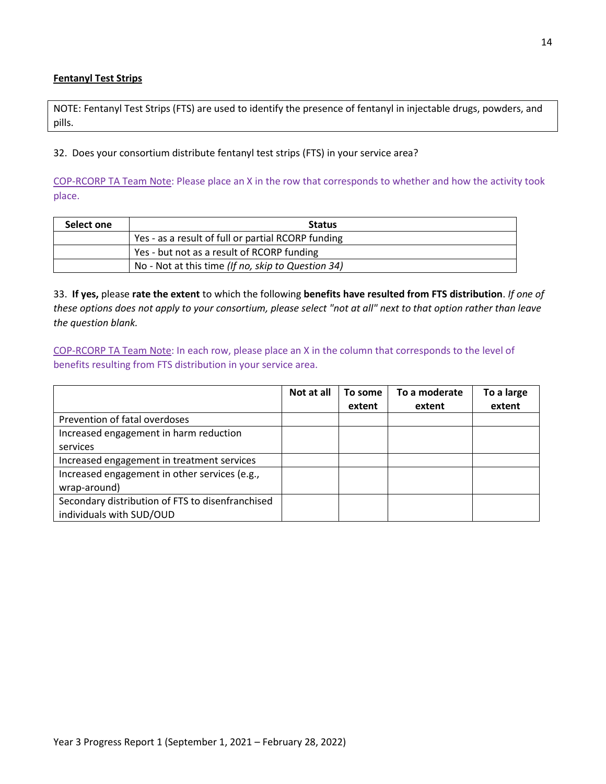# **Fentanyl Test Strips**

NOTE: Fentanyl Test Strips (FTS) are used to identify the presence of fentanyl in injectable drugs, powders, and pills.

32. Does your consortium distribute fentanyl test strips (FTS) in your service area?

COP-RCORP TA Team Note: Please place an X in the row that corresponds to whether and how the activity took place.

| Select one | <b>Status</b>                                      |
|------------|----------------------------------------------------|
|            | Yes - as a result of full or partial RCORP funding |
|            | Yes - but not as a result of RCORP funding         |
|            | No - Not at this time (If no, skip to Question 34) |

33. **If yes,** please **rate the extent** to which the following **benefits have resulted from FTS distribution**. *If one of these options does not apply to your consortium, please select "not at all" next to that option rather than leave the question blank.*

COP-RCORP TA Team Note: In each row, please place an X in the column that corresponds to the level of benefits resulting from FTS distribution in your service area.

|                                                  | Not at all | To some | To a moderate | To a large |
|--------------------------------------------------|------------|---------|---------------|------------|
|                                                  |            | extent  | extent        | extent     |
| Prevention of fatal overdoses                    |            |         |               |            |
| Increased engagement in harm reduction           |            |         |               |            |
| services                                         |            |         |               |            |
| Increased engagement in treatment services       |            |         |               |            |
| Increased engagement in other services (e.g.,    |            |         |               |            |
| wrap-around)                                     |            |         |               |            |
| Secondary distribution of FTS to disenfranchised |            |         |               |            |
| individuals with SUD/OUD                         |            |         |               |            |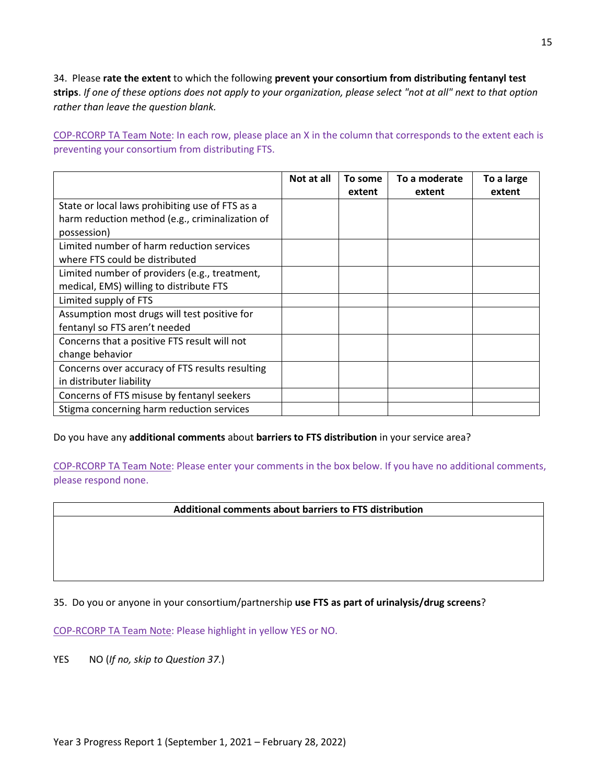34. Please **rate the extent** to which the following **prevent your consortium from distributing fentanyl test strips**. *If one of these options does not apply to your organization, please select "not at all" next to that option rather than leave the question blank.*

COP-RCORP TA Team Note: In each row, please place an X in the column that corresponds to the extent each is preventing your consortium from distributing FTS.

|                                                 | Not at all | To some<br>extent | To a moderate<br>extent | To a large<br>extent |
|-------------------------------------------------|------------|-------------------|-------------------------|----------------------|
| State or local laws prohibiting use of FTS as a |            |                   |                         |                      |
| harm reduction method (e.g., criminalization of |            |                   |                         |                      |
| possession)                                     |            |                   |                         |                      |
| Limited number of harm reduction services       |            |                   |                         |                      |
| where FTS could be distributed                  |            |                   |                         |                      |
| Limited number of providers (e.g., treatment,   |            |                   |                         |                      |
| medical, EMS) willing to distribute FTS         |            |                   |                         |                      |
| Limited supply of FTS                           |            |                   |                         |                      |
| Assumption most drugs will test positive for    |            |                   |                         |                      |
| fentanyl so FTS aren't needed                   |            |                   |                         |                      |
| Concerns that a positive FTS result will not    |            |                   |                         |                      |
| change behavior                                 |            |                   |                         |                      |
| Concerns over accuracy of FTS results resulting |            |                   |                         |                      |
| in distributer liability                        |            |                   |                         |                      |
| Concerns of FTS misuse by fentanyl seekers      |            |                   |                         |                      |
| Stigma concerning harm reduction services       |            |                   |                         |                      |

Do you have any **additional comments** about **barriers to FTS distribution** in your service area?

COP-RCORP TA Team Note: Please enter your comments in the box below. If you have no additional comments, please respond none.

**Additional comments about barriers to FTS distribution**

35. Do you or anyone in your consortium/partnership **use FTS as part of urinalysis/drug screens**?

COP-RCORP TA Team Note: Please highlight in yellow YES or NO.

YES NO (*If no, skip to Question 37.*)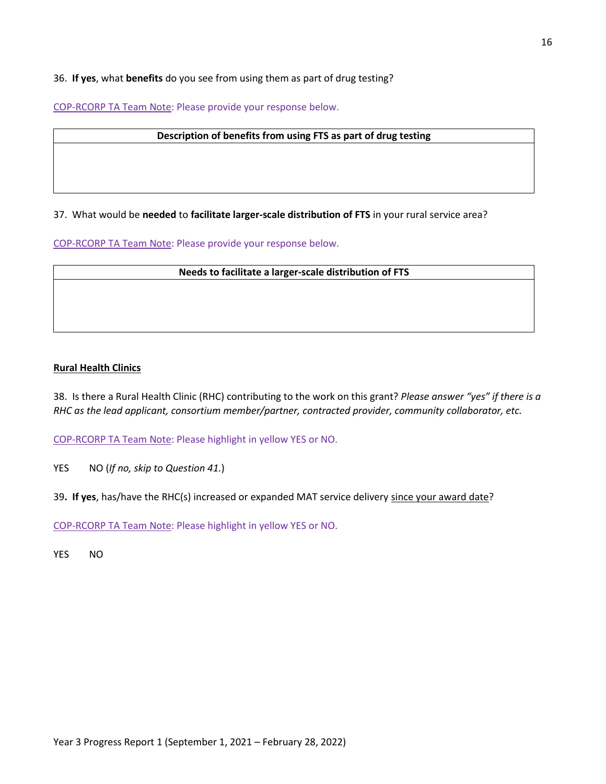# 36. **If yes**, what **benefits** do you see from using them as part of drug testing?

COP-RCORP TA Team Note: Please provide your response below.

# **Description of benefits from using FTS as part of drug testing**

37. What would be **needed** to **facilitate larger-scale distribution of FTS** in your rural service area?

COP-RCORP TA Team Note: Please provide your response below.

**Needs to facilitate a larger-scale distribution of FTS**

# **Rural Health Clinics**

38. Is there a Rural Health Clinic (RHC) contributing to the work on this grant? *Please answer "yes" if there is a RHC as the lead applicant, consortium member/partner, contracted provider, community collaborator, etc.*

COP-RCORP TA Team Note: Please highlight in yellow YES or NO.

YES NO (*If no, skip to Question 41.*)

39**. If yes**, has/have the RHC(s) increased or expanded MAT service delivery since your award date?

COP-RCORP TA Team Note: Please highlight in yellow YES or NO.

YES NO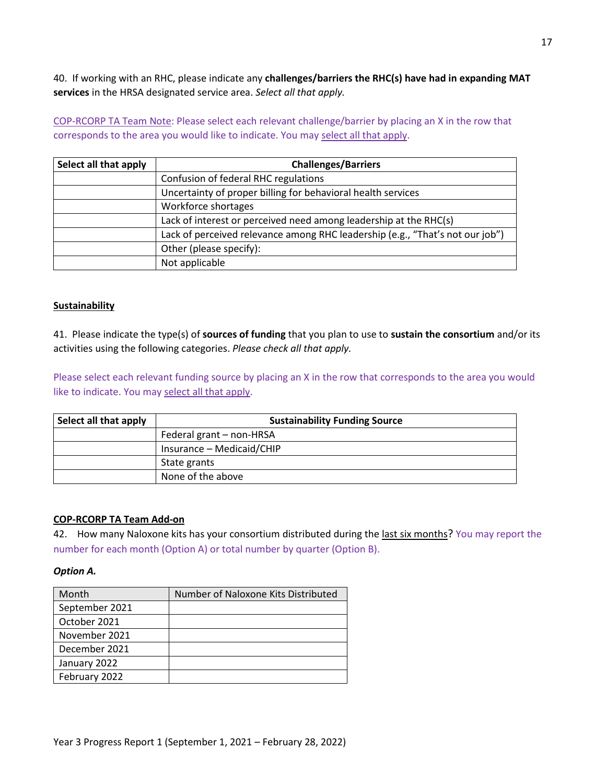40. If working with an RHC, please indicate any **challenges/barriers the RHC(s) have had in expanding MAT services** in the HRSA designated service area. *Select all that apply.*

COP-RCORP TA Team Note: Please select each relevant challenge/barrier by placing an X in the row that corresponds to the area you would like to indicate. You may select all that apply.

| Select all that apply | <b>Challenges/Barriers</b>                                                    |  |  |
|-----------------------|-------------------------------------------------------------------------------|--|--|
|                       | Confusion of federal RHC regulations                                          |  |  |
|                       | Uncertainty of proper billing for behavioral health services                  |  |  |
|                       | Workforce shortages                                                           |  |  |
|                       | Lack of interest or perceived need among leadership at the RHC(s)             |  |  |
|                       | Lack of perceived relevance among RHC leadership (e.g., "That's not our job") |  |  |
|                       | Other (please specify):                                                       |  |  |
|                       | Not applicable                                                                |  |  |

#### **Sustainability**

41. Please indicate the type(s) of **sources of funding** that you plan to use to **sustain the consortium** and/or its activities using the following categories. *Please check all that apply.*

Please select each relevant funding source by placing an X in the row that corresponds to the area you would like to indicate. You may select all that apply.

| Select all that apply | <b>Sustainability Funding Source</b> |  |  |
|-----------------------|--------------------------------------|--|--|
|                       | Federal grant - non-HRSA             |  |  |
|                       | Insurance - Medicaid/CHIP            |  |  |
|                       | State grants                         |  |  |
|                       | None of the above                    |  |  |

### **COP-RCORP TA Team Add-on**

42. How many Naloxone kits has your consortium distributed during the last six months? You may report the number for each month (Option A) or total number by quarter (Option B).

### *Option A.*

| Month          | Number of Naloxone Kits Distributed |
|----------------|-------------------------------------|
| September 2021 |                                     |
| October 2021   |                                     |
| November 2021  |                                     |
| December 2021  |                                     |
| January 2022   |                                     |
| February 2022  |                                     |